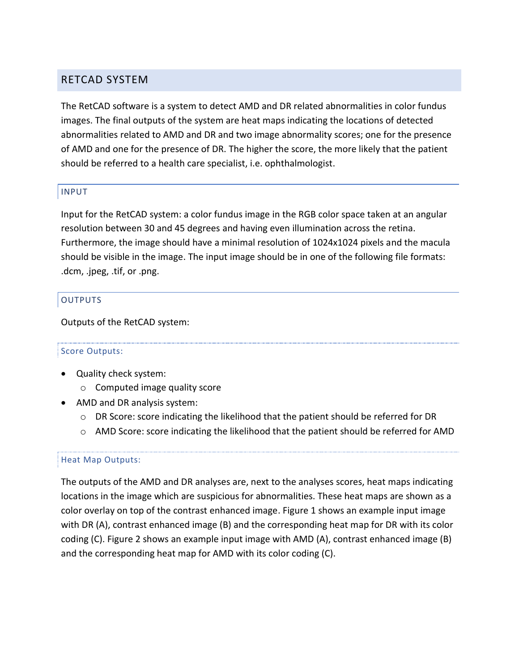# RETCAD SYSTEM

The RetCAD software is a system to detect AMD and DR related abnormalities in color fundus images. The final outputs of the system are heat maps indicating the locations of detected abnormalities related to AMD and DR and two image abnormality scores; one for the presence of AMD and one for the presence of DR. The higher the score, the more likely that the patient should be referred to a health care specialist, i.e. ophthalmologist.

### INPUT

Input for the RetCAD system: a color fundus image in the RGB color space taken at an angular resolution between 30 and 45 degrees and having even illumination across the retina. Furthermore, the image should have a minimal resolution of 1024x1024 pixels and the macula should be visible in the image. The input image should be in one of the following file formats: .dcm, .jpeg, .tif, or .png.

### OUTPUTS

Outputs of the RetCAD system:

#### Score Outputs:

- Quality check system:
	- o Computed image quality score
- AMD and DR analysis system:
	- o DR Score: score indicating the likelihood that the patient should be referred for DR
	- o AMD Score: score indicating the likelihood that the patient should be referred for AMD

#### Heat Map Outputs:

The outputs of the AMD and DR analyses are, next to the analyses scores, heat maps indicating locations in the image which are suspicious for abnormalities. These heat maps are shown as a color overlay on top of the contrast enhanced image. Figure 1 shows an example input image with DR (A), contrast enhanced image (B) and the corresponding heat map for DR with its color coding (C). Figure 2 shows an example input image with AMD (A), contrast enhanced image (B) and the corresponding heat map for AMD with its color coding (C).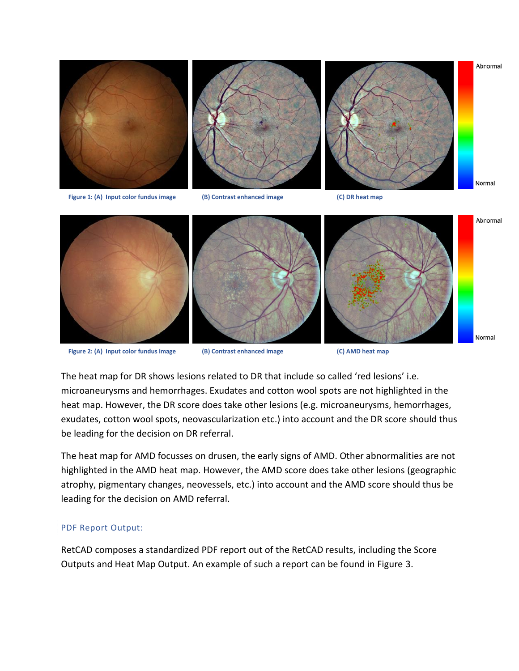

**Figure 2: (A) Input color fundus image (B) Contrast enhanced image (C) AMD heat map**





Abnormal

Normal

The heat map for DR shows lesions related to DR that include so called 'red lesions' i.e. microaneurysms and hemorrhages. Exudates and cotton wool spots are not highlighted in the heat map. However, the DR score does take other lesions (e.g. microaneurysms, hemorrhages, exudates, cotton wool spots, neovascularization etc.) into account and the DR score should thus be leading for the decision on DR referral.

The heat map for AMD focusses on drusen, the early signs of AMD. Other abnormalities are not highlighted in the AMD heat map. However, the AMD score does take other lesions (geographic atrophy, pigmentary changes, neovessels, etc.) into account and the AMD score should thus be leading for the decision on AMD referral.

#### PDF Report Output:

RetCAD composes a standardized PDF report out of the RetCAD results, including the Score Outputs and Heat Map Output. An example of such a report can be found in Figure 3.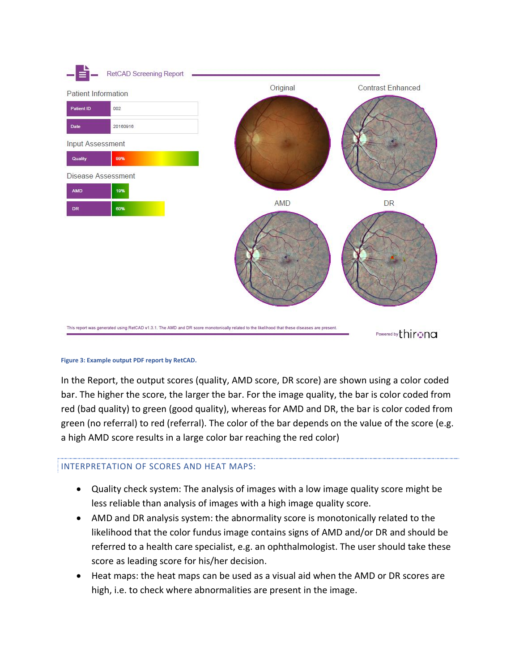

#### **Figure 3: Example output PDF report by RetCAD.**

In the Report, the output scores (quality, AMD score, DR score) are shown using a color coded bar. The higher the score, the larger the bar. For the image quality, the bar is color coded from red (bad quality) to green (good quality), whereas for AMD and DR, the bar is color coded from green (no referral) to red (referral). The color of the bar depends on the value of the score (e.g. a high AMD score results in a large color bar reaching the red color)

#### INTERPRETATION OF SCORES AND HEAT MAPS:

- Quality check system: The analysis of images with a low image quality score might be less reliable than analysis of images with a high image quality score.
- AMD and DR analysis system: the abnormality score is monotonically related to the likelihood that the color fundus image contains signs of AMD and/or DR and should be referred to a health care specialist, e.g. an ophthalmologist. The user should take these score as leading score for his/her decision.
- Heat maps: the heat maps can be used as a visual aid when the AMD or DR scores are high, i.e. to check where abnormalities are present in the image.